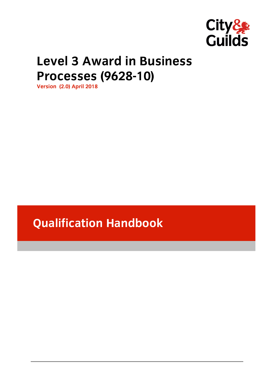

# **Level 3 Award in Business Processes (9628-10)**

**Processes (2.0)** April 2018

**Qualification Handbook**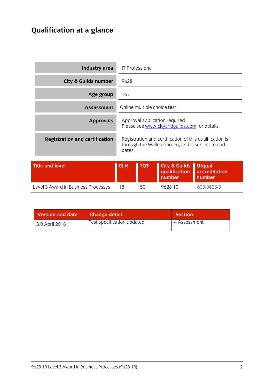# **Qualification at a glance**

| Industry area                         |            | <b>IT Professional</b>      |                                                                                                             |                                          |
|---------------------------------------|------------|-----------------------------|-------------------------------------------------------------------------------------------------------------|------------------------------------------|
| <b>City &amp; Guilds number</b>       | 9628       |                             |                                                                                                             |                                          |
| Age group                             | $16+$      |                             |                                                                                                             |                                          |
| <b>Assessment</b>                     |            | Online multiple choice test |                                                                                                             |                                          |
| <b>Approvals</b>                      |            |                             | Approval application required.<br>Please see www.cityandguilds.com for details.                             |                                          |
| <b>Registration and certification</b> | dates.     |                             | Registration and certification of this qualification is<br>through the Walled Garden, and is subject to end |                                          |
| <b>Title and level</b>                | <b>GLH</b> | <b>TQT</b>                  | <b>City &amp; Guilds</b><br>qualification<br>number                                                         | <b>Ofqual</b><br>accreditation<br>number |
| Level 3 Award in Business Processes   | 18         | 50                          | 9628-10                                                                                                     | 603/0623/3                               |

| <b>Version and date</b> | <b>Change detail</b>       | <b>Section</b> |
|-------------------------|----------------------------|----------------|
| 3.0 April 2018          | Test specification updated | 4 Assessment   |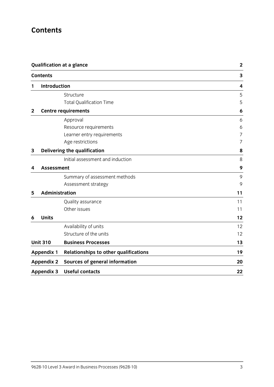## **Contents**

|              | <b>Qualification at a glance</b><br><b>Contents</b> |                                              | $\mathbf 2$<br>3 |  |
|--------------|-----------------------------------------------------|----------------------------------------------|------------------|--|
|              |                                                     |                                              |                  |  |
| 1            | <b>Introduction</b>                                 |                                              | 4                |  |
|              |                                                     | Structure                                    | 5                |  |
|              |                                                     | <b>Total Qualification Time</b>              | 5                |  |
| $\mathbf{2}$ |                                                     | <b>Centre requirements</b>                   | 6                |  |
|              |                                                     | Approval                                     | 6                |  |
|              |                                                     | Resource requirements                        | 6                |  |
|              |                                                     | Learner entry requirements                   | 7                |  |
|              |                                                     | Age restrictions                             | 7                |  |
| 3            |                                                     | Delivering the qualification                 | 8                |  |
|              |                                                     | Initial assessment and induction             | 8                |  |
| 4            | <b>Assessment</b>                                   |                                              | 9                |  |
|              |                                                     | Summary of assessment methods                | 9                |  |
|              |                                                     | Assessment strategy                          | 9                |  |
| 5            | Administration                                      |                                              | 11               |  |
|              |                                                     | Quality assurance                            | 11               |  |
|              |                                                     | Other issues                                 | 11               |  |
| 6            | <b>Units</b>                                        |                                              | 12               |  |
|              |                                                     | Availability of units                        | 12               |  |
|              |                                                     | Structure of the units                       | 12               |  |
|              | <b>Unit 310</b>                                     | <b>Business Processes</b>                    | 13               |  |
|              | <b>Appendix 1</b>                                   | <b>Relationships to other qualifications</b> | 19               |  |
|              | <b>Appendix 2</b>                                   | <b>Sources of general information</b>        | 20               |  |
|              | <b>Appendix 3</b>                                   | <b>Useful contacts</b>                       | 22               |  |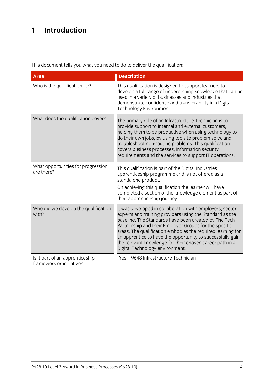# **1 Introduction**

This document tells you what you need to do to deliver the qualification:

| <b>Area</b>                                                 | <b>Description</b>                                                                                                                                                                                                                                                                                                                                                                                                                                                                                   |
|-------------------------------------------------------------|------------------------------------------------------------------------------------------------------------------------------------------------------------------------------------------------------------------------------------------------------------------------------------------------------------------------------------------------------------------------------------------------------------------------------------------------------------------------------------------------------|
| Who is the qualification for?                               | This qualification is designed to support learners to<br>develop a full range of underpinning knowledge that can be<br>used in a variety of businesses and industries that<br>demonstrate confidence and transferability in a Digital<br>Technology Environment.                                                                                                                                                                                                                                     |
| What does the qualification cover?                          | The primary role of an Infrastructure Technician is to<br>provide support to internal and external customers,<br>helping them to be productive when using technology to<br>do their own jobs, by using tools to problem solve and<br>troubleshoot non-routine problems. This qualification<br>covers business processes, information security<br>requirements and the services to support IT operations.                                                                                             |
| What opportunities for progression<br>are there?            | This qualification is part of the Digital Industries<br>apprenticeship programme and is not offered as a<br>standalone product.<br>On achieving this qualification the learner will have<br>completed a section of the knowledge element as part of                                                                                                                                                                                                                                                  |
| Who did we develop the qualification<br>with?               | their apprenticeship journey.<br>It was developed in collaboration with employers, sector<br>experts and training providers using the Standard as the<br>baseline. The Standards have been created by The Tech<br>Partnership and their Employer Groups for the specific<br>areas. The qualification embodies the required learning for<br>an apprentice to have the opportunity to successfully gain<br>the relevant knowledge for their chosen career path in a<br>Digital Technology environment. |
| Is it part of an apprenticeship<br>framework or initiative? | Yes-9648 Infrastructure Technician                                                                                                                                                                                                                                                                                                                                                                                                                                                                   |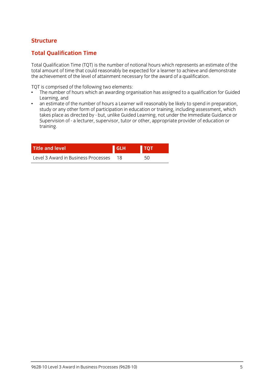# **Structure**

## **Total Qualification Time**

Total Qualification Time (TQT) is the number of notional hours which represents an estimate of the the achieve ment of the level of attainment necessary for the award of a qualification the achievement of the level of attainment necessary for the award of a qualification.

- $\cdot$  The number of hours which an awarding org  $\frac{1}{2}$  The number of  $\frac{1}{2}$  and  $\frac{1}{2}$  and  $\frac{1}{2}$  are assigned to a qualitation for Guidel $\frac{1}{2}$  and  $\frac{1}{2}$  and  $\frac{1}{2}$  and  $\frac{1}{2}$  and  $\frac{1}{2}$  and  $\frac{1}{2}$  and  $\frac{1}{2}$  and  $\frac{1}{2}$  and  $\frac{1}{2$ Learning, and<br>an estimate of the number of hours a Learner will reasonably be likely to spend in preparation,
- $\bullet$ study or any other form of participation in education or training, including assessment, which takes place as directed by - but, unlike Guided Learning, not under the Immediate Guidance or takes place as an execute, near, and the same Learning, not under the immediate Guidance or<br>Supervision of - a lecturer is unervisor i tutor or other ianoropriate provider of education or Supervision of - a lecturer, supervisor, tutor or other, appropriate provider of education or training.

| <b>Title and level</b>              | l GLH | тот |  |
|-------------------------------------|-------|-----|--|
| Level 3 Award in Business Processes |       | 50  |  |
|                                     |       |     |  |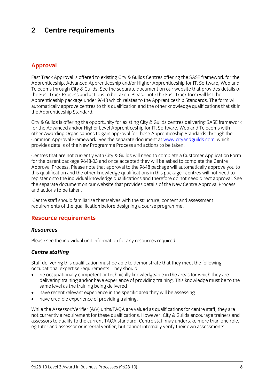## $\overline{2}$ **2 Centre requirements**

## **Approval**

Fast Track Approval is offered to existing City & Guilds Centres offering the SASE framework for the<br>Apprenticeship, Advanced Apprenticeship and/or Higher Apprenticeship for IT, Software, Web and Telecoms through City & Guilds. See the separate document on our website that provides details of the Fast Track Process and actions to be taken. Please note the Fast Track form will list the Apprenticeship package under 9648 which relates to the Apprenticeship Standards. The form will automatically approve centres to this qualification and the other knowledge qualifications that sit in the Apprenticeship Standard. the Apprenticeship Standard.

City & Guilds is offering the opportunity for existing City & Guilds centres delivering SASE framework for the Advanced and/or Higher Level Apprenticeship for IT, Software, Web and Telecoms with other Awarding Organisations to gain approval for these Apprenticeship Standards through the Common Approval Framework. See the separate document at www.cityandguilds.com which Common Apple Framework. See the separate document at the separate document at the separate document at which the separate document at which the separate document at which the separate document at which the separate documen provides details of the New Programme Process and actions to be taken.

Centres that are not currently with City & Guilds will need to complete a Customer Application Form Approval Process. Please note that approval to the 9648 package will automatically approve you to this qualification and the other knowledge qualifications in this package - centres will not need to register onto the individual knowledge qualifications and therefore do not need direct approval. See the separate document on our website that provides details of the New Centre Approval Process and actions to be taken and actions to be taken.

Centre staff should familiarise themselves with the structure, content and assessment requirements of the qualification before designing a course programme. requirements of the qualification before designing a course programme.

## **Resource requirements**

#### **Resources** *Resources*

Please see the individual unit information for any resources required.

## *Centre staffing*

Staff delivering this qualification must be able to demonstrate that they meet the following occupational expertise requirements. They should:

- be occupationally competent or technically knowledgeable in the areas for which they are delivering training and/or have experience of providing training. This knowledge must be to the same level as the training being delivered
- have recent relevant experience in the specific area they will be assessing<br>• have credible experience of providing training
- have credible experience of providing training.

While the Assessor/Verifier (A/V) units/TAQA are valued as qualifications for centre staff, they are not currently a requirement for these qualifications. However, City & Guilds encourage trainers and assessors to qualify to the current TAOA standard. Centre staff may undertake more than one role, eg tutor and assessor or internal verifier, but cannot internally verify their own assessments. eg tutor and assessor or internal verifier, but cannot internally verify their own assessments.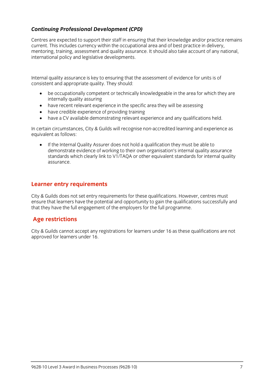# *Continuing Professional Development (CPD)*

Centres are expected to support their staff in ensuring that their knowledge and/or practice remains current. This includes currency within the occupational area and of best practice in delivery. mentoring, training, assessment and quality assurance. It should also take account of any national, international policy and legislative developments. international policy and legislative developments.

Internal quality assurance is key to ensuring that the assessment of evidence for units is of consistent and appropriate  $\frac{1}{2}$  should: They should: They should: They should: They should: They should: They should: They should: They should: They should: They should: They should: They should: They should: They sho

- be occupationally competent or technically knowledgeable in the area for which they are
- have recent relevant experience in the specific area they will be assessing<br>• have credible experience of providing training
- have credible experience of providing training
- have a CV available demonstrating relevant experience and any qualifications held.

In certain circumstances, City & Guilds will recognise non-accredited learning and experience as equivalent as follows:

If the Internal Quality Assurer does not hold a qualification they must be able to demonstrate evidence of working to their own organisation's internal quality assurance standards which clearly link to V1/TAOA or other equivalent standards for internal quality  $s_{\rm t}$  is a contract to  $\sim$  or other equivalent standards for internal quality  $\sim$ assurance.

## **Learner entry requirements**

City & Guilds does not set entry requirements for these qualifications. However, centres must ensure that learners have the potential and opportunity to gain the qualifications successfully and that they have the full engagement of the employers for the full programme.  $t_{\rm t}$  that the employers for the full programme.

# **Age restrictions**

 $\frac{1}{2}$  cannot accept any registrations for learners under 16  $\frac{1}{2}$ approved for learners under 16.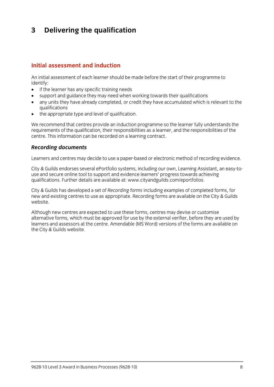## $\mathbf{3}$ **3 Delivering the qualification**

#### Initial assessment and induction **Initial assessment and induction**

An initial assessment of each learner should be made before the start of their programme to identify:

- $\bullet$  if the learner has any specific training needs<br>  $\bullet$  sunnort and quidance they may need when
- support and guidance they may need when working towards their qualifications
- any units they have already completed, or credit they have accumulated which is relevant to the
- $\bullet$  the appropriate type and level of qualification.

We recommend that centres provide an induction programme so the learner fully understands the requirements of the qualification, their responsibilities as a learner, and the responsibilities of the centre. This information can be recorded on a learning contract. centre. This information can be recorded on a learning contract.

# *Recording documents*

Learners and centres may decide to use a paper-based or electronic method of recording evidence.

City & Guilds endorses several ePortfolio systems, including our own, Learning Assistant, an easy-to-<br>use and secure online tool to support and evidence learners' progress towards achieving qualifications. Further details are available at: www.cityandguilds.com/eportfolios.  $q_1$ . Further details are available at: www.cityandguilds.com/epoch.com/epoch.com/epoch.com/epoch.com/epoch.com/epoch.com/epoch.com/epoch.com/epoch.com/epoch.com/epoch.com/epoch.com/epoch.com/epoch.com/epoch.com/epoch.co

City & Guilds has developed a set of *Recording forms* including examples of completed forms, for new and existing centres to use as appropriate. Recording forms are available on the City & Guilds website.

Although new centres are expected to use these forms, centres may devise or customise<br>alternative forms, which must be approved for use by the external verifier, before they are used by learners and assessors at the centre. Amendable (MS Word) versions of the forms are available on the City & Guilds website.  $t_{\rm t}$  the City website.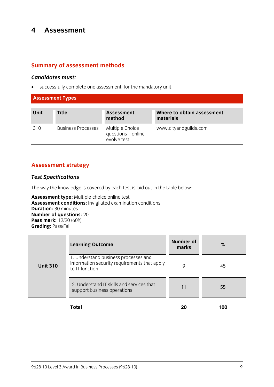## $\overline{\mathbf{4}}$ **4 Assessment**

## **Summary of assessment methods**

*Candidates must:* successfully complete one assessment for the mandatory unit

| <b>Assessment Types</b> |                           |                                                      |                                         |
|-------------------------|---------------------------|------------------------------------------------------|-----------------------------------------|
| <b>Unit</b>             | <b>Title</b>              | <b>Assessment</b><br>method                          | Where to obtain assessment<br>materials |
| 310                     | <b>Business Processes</b> | Multiple Choice<br>questions - online<br>evolve test | www.cityandguilds.com                   |

## **Assessment strategy**

### *Test Specifications*

The way the knowledge is covered by each test is laid out in the table below:<br> **Assessment type:** Multiple-choice online test

Assessment conditions: Invigilated examination conditions **Duration: 30 minutes Number of questions: 20 Pass mark:**  $12/20(60%)$ **Grading: Pass/Fail Grading:** Pass/Fail

|                 | <b>Learning Outcome</b>                                                                                | <b>Number of</b><br>marks | %   |
|-----------------|--------------------------------------------------------------------------------------------------------|---------------------------|-----|
| <b>Unit 310</b> | 1. Understand business processes and<br>information security requirements that apply<br>to IT function | Q                         | 45  |
|                 | 2. Understand IT skills and services that<br>support business operations                               | 11                        | 55  |
|                 | Total                                                                                                  | 20                        | 100 |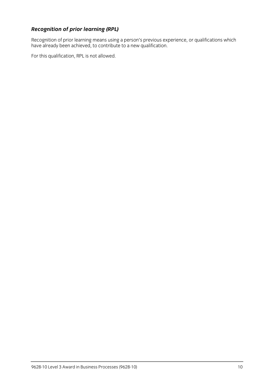**Recognition of prior learning (RPL)**<br>Recognition of prior learning means using a person's previous experience, or qualifications which Recognition of prior relating means using a person's previous experience, or qualifications which is needed. have already been achieved, to contribute to a new qualification.

For this qualification, RPL is not allowed.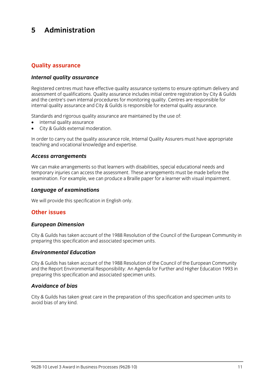#### 5 Administration **5 Administration**

# **Quality assurance**

### *Internal quality assurance*

Registered centres must have effective quality assurance systems to ensure optimum delivery and<br>assessment of qualifications. Quality assurance includes initial centre registration by City & Guilds and the centre's own internal procedures for monitoring quality. Centres are responsible for internal quality assurance and City & Guilds is responsible for external quality assurance. internal quality assurance and City & Guilds is responsible for external quality assurance.

- $\bullet$  internal quality assurance<br>  $\bullet$  City & Guilds external moderation
- City & Guilds external moderation.

In order to carry out the quality assurance role, Internal Quality Assurers must have appropriate teaching and vocational knowledge and expertise. teaching and vocational knowledge and expertise.

# *Access arrangements*

We can make arrangements so that learners with disabilities, special educational needs and<br>temporary injuries can access the assessment. These arrangements must be made before the  $\frac{1}{2}$  in  $\frac{1}{2}$  is the cannon contract the assessment. The assessment of  $\frac{1}{2}$  arrangement of  $\frac{1}{2}$  arrangement of  $\frac{1}{2}$  arrangement of  $\frac{1}{2}$  arrangement of  $\frac{1}{2}$  arrangement of  $\frac{1}{2}$  arrang examination. For example, we can produce a Braille paper for a learner with visual impairment.

# *Language of examinations*

 $\mathbb{R}^n$  will provide this specification in Eq. (

# **Other issues**

# *European Dimension*

City & Guilds has taken account of the 1988 Resolution of the Council of the European Community in preparing this specification and associated specimen units. preparing this specification and associated specimen units.

# *Environmental Education*

City & Guilds has taken account of the 1988 Resolution of the Council of the European Community preparing this specification and associated specimen units. preparing this specification and associated specimen units.

#### **Avoidance of bias** *Avoidance of bias*

City & Guilds has taken great care in the preparation of this specification and specimen units to avoid bias of any kind.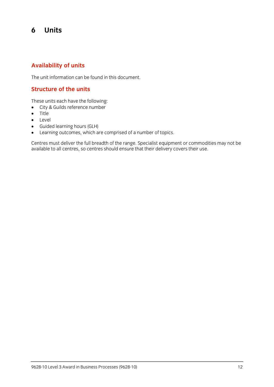## 6 **6 Units**

## **Availability of units**

The unit information can be found in this document.

## **Structure of the units**

- $\bullet$  City & Guilds reference number
- $\bullet$  Title
- **•** Level<br>• Guide
- Guided learning hours (GLH)
- 

• Learning outcomes, which are comprised of a number of topics.<br>Centres must deliver the full breadth of the range. Specialist equipment or commodities may not be centres must demite the functionality of the range oppositive equipment or commodities may not be available to all centres, so centres should ensure that their delivery covers their use.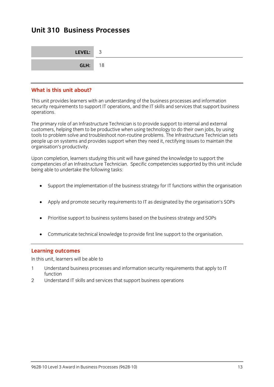## **Unit 310 Business Processes Unit 310 Business Processes**

| LEVEL: 3       |  |
|----------------|--|
| <b>GLH:</b> 18 |  |

#### What is this unit about? **What is this unit about?**

This unit provides learners with an understanding of the business processes and information<br>security requirements to support IT operations, and the IT skills and services that support business security requirements to support IT operations, and the IT skills and services that support business that support business operations.

The primary role of an Infrastructure Technician is to provide support to internal and external<br>customers, helping them to be productive when using technology to do their own jobs, by using tools to problem solve and troubleshoot non-routine problems. The Infrastructure Technician sets people up on systems and provides support when they need it, rectifying issues to maintain the organisation's productivity. organisation's productivity.

Upon completion, learners studying this unit will have gained the knowledge to support the being able to undertake the following tasks: being able to undertake the following tasks:

- Support the implementation of the business strategy for IT functions within the organisation
- Apply and promote security requirements to IT as designated by the organisation's SOPs
- Prioritise support to business systems based on the business strategy and SOPs
- Communicate technical knowledge to provide first line support to the organisation.

**Learning outcomes**<br>In this unit, learners will be able to In this unit, learners will be able to

- $1$  understand business  $\frac{1}{2}$  processes and information security requirements that apply to IT  $\frac{1}{2}$ function<br>Understand IT skills and services that support business operations
- $\mathfrak{D}$  $2$  Understand It shift and services that support business operations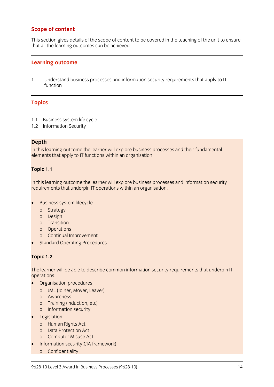# **Scope of content**

This section gives details of the scope of content to be covered in the teaching of the unit to ensure<br>that all the learning outcomes can be achieved that all the learning outcomes can be achieved.

#### **Learning outcome**

 $\mathbf{1}$ 1 Understand business processes and information security requirements that apply to IT function

### **Topics**

- 1.1 Business system life cycle<br>1.2 Information Security
- $1.2$  Information  $\frac{1}{2}$

**Depth**<br>In this learning outcome the learner will explore business processes and their fundamental In the learning experiment change this processes processes and their fundamental<br>elements that annly to IT functions within an organisation elements that apply to IT functions with  $\frac{1}{2}$ 

# **Topic 1.1**

In the learning experiments control this ripper consider processes and increments the cost in property. requirements that underpin IT operations within an organisation.

- Business system lifecycle<br>o Strategy
	-
	- o Design
	- o Transition
	- o Operations
	- o Continual Improvement
- Standard Operating Procedures

## **Topic 1.2**

The learner will be able to describe common information security requirements that underpin IT

- Organisation procedures
	- o JML (Joiner, Mover, Leaver)
	-
	- o Training (induction, etc)
	- o Information security
- Legislation<br>
 Legislation
	- o Human Rights Act<br>o Data Protection Act
	-
	- o Computer Misuse Act
- Information security(CIA framework)
	- o Confidentiality<br>September 1987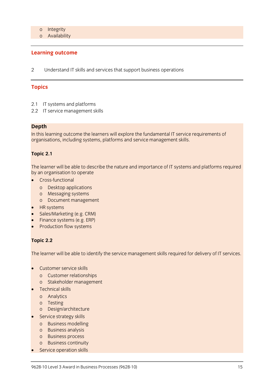- 
- o Availabil  $\overline{\phantom{a}}$

# **Learning outcome**

 $\mathcal{P}$ 2 Understand IT skills and services that support business operations

### **Topics**

- 
- 2.1 IT systems and platforms<br>2.2 IT sorvice management s  $2.2$  IT service management skills

**Depth**<br>In this learning outcome the learners will explore the fundamental IT service requirements of In this learning of the learning of the learning of the fundamental IT service in the fundamental IT service re<br>In this service requirement of the fundamental IT service requirements of the fundamental IT service requireme organisations, including systems, platforms and service management skills.

## **Topic 2.1**

The learner will be able to describe the nature and importance of IT systems and platforms required<br>by an organisation to operate

- by an organisation to operate Cross-functional
	- o Desktop applications<br>o Messaging systems
	-
	- o Document management
- 
- o HR systems<br>
A Sales/Marketing (e.g. CBM) Sales/Marketing (e.g. CRM)
- Finance systems (e.g. ERP)
- Production flow systems

## **Topic 2.2**

The learner will be able to identify the service management skills required for delivery of IT services.

- - Customer service skills<br>o Customer relationships
	- o Stakeholder management
- $\bullet$  Technical skills
	-
	- o Analytics<br>o Testing
	- o Design/architecture
- Service strategy skills
	-
	- o Business modelling<br>o Business analysis
	- o Business process
	- o Business continuity
- $\bullet$  Service operation skills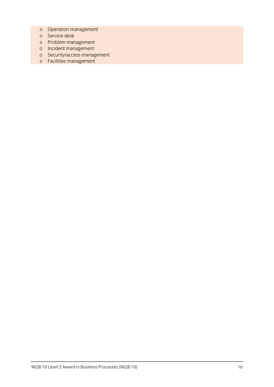- o Operation management
- 
- o Problem management
- o Incident management
- o Security/access management
- o Security/access management  $\frac{1}{2}$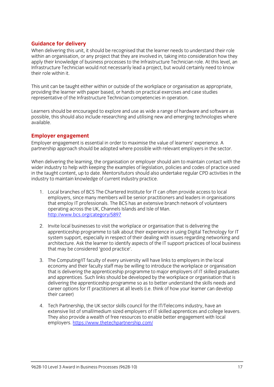**Guidance for delivery**<br>When delivering this unit, it should be recognised that the learner needs to understand their role within an organisation, or any project that they are involved in, taking into consideration how they apply their knowledge of business processes to the Infrastructure Technician role. At this level, an Infrastructure Technician would not necessarily lead a project, but would certainly need to know their role within it. their role within it.

This unit can be taught either within or outside of the workplace or organisation as appropriate. providing the learner with paper based, or hands on practical exercises and case studies representative of the Infrastructure Technician competencies in operation. representative of the Infrastructure Technician competencies in operation.

Learners should be encouraged to explore and use as wide a range of hardware and software as<br>possible, this should also include researching and utilising new and emerging technologies where possible, this should also include researching and utilising new and emerging technologies where available.

**Employer engagement**<br>
Employer engagement is essential in order to maximise the value of learners' experience. A partnership approach should be adopted where possible with relevant employers in the sector. partnership approach should be adopted where possible with relevant employers in the sector.

When delivering the learning, the organisation or employer should aim to maintain contact with the wider industry to help with keeping the examples of legislation, policies and codes of practice used in the taught content, up to date. Mentors/tutors should also undertake regular CPD activities in the industry to maintain knowledge of current industry practice.  $\sum_{i=1}^{n}$  industry products in the current industry products.

- 1. Local branches of BCS The Chartered Institute for IT can often provide access to local that employ IT professionals. The BCS has an extensive branch network of volunteers operating across the UK. Channels Islands and Isle of Man. http://www.bcs.org/category/5897 http://www.bcs.org/category/58977<br>Professor
- 2. Invite local businesses to visit the workplace or organisation that is delivering the apprenticeship programme to talk about their experience in using Digital Technology for IT system support, especially in respect of their dealing with issues regarding networking and architecture. Ask the learner to identify aspects of the IT support practices of local business  $\frac{1}{2}$  that may be considered 'good practice' that may be considered 'good practice'.
- 3. The Computing/IT faculty of every university will have links to employers in the local that is delivering the apprenticeship programme to major employers of IT skilled graduates and apprentices. Such links should be developed by the workplace or organisation that is delivering the apprenticeship programme so as to better understand the skills needs and career options for IT practitioners at all levels (i.e. think of how your learner can develop their career) their career)
- 4. Tech Partnership, the UK sector skills council for the IT/Telecoms industry, have an extensive list of small/medium sized employers of IT skilled apprentices and college leavers. They also provide a wealth of free resources to enable better engagement with local employers. https://www.thetechpartnership.com/ employers. <u>https://www.thetechpartnership.com/</u>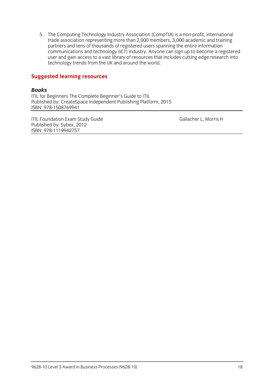5. The Computing Technology Industry Association (CompTIA) is a non-profit, international<br>trade association representing more than 2,000 members, 3,000 academic and training partners and tens of thousands of registered users spanning the entire information communications and technology (ICT) industry. Anyone can sign up to become a registered user and gain access to a vast library of resources that includes cutting edge research into technology trends from the UK and around the world. technology trends from the UK and around the world.

# **Suggested learning resources**

#### **Books**

**ITIL for Beginners The Complete Beginner's Guide to ITIL** Published by: CreateSpace Independent Publishing Platform, 2015 ISBN: 978-1508769941 <u>- 978-1508-1508-1508</u>

ITIL Foundation Exam Study Guide<br>
Published by: Svbex. 2012 ISBN: 978-1119942757 <u>ISBN: 978-1119-111994</u>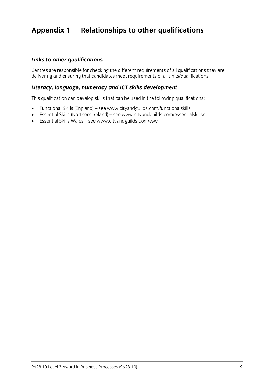## **Appendix 1 Relationships to other qualifications**

### *Links to other qualifications*

Centres are responsible for checking the different requirements of all units/qualifications they are delivering and ensuring that can deliver meet requirements of all units/qualifications.

#### *Literacy, language, numeracy and ICT skills development*

This qualification can develop skills that can be used in the following qualifications:

- Functional Skills (England) se[e www.](http://www.cityandguilds.com/functionalskills)[cityandguilds.com/functionalskills](http://www.cityandguilds.com/essentialskillsni)
- Essential Skills (Northern Ireland) see www.cityandguilds.com/essentialskillsni<br>■ Essential Skills Wales see www.cityandguilds.com/esw
- Essential Skills Wales see [www.cityandguilds.com/esw](http://www.cityandguilds.com/esw)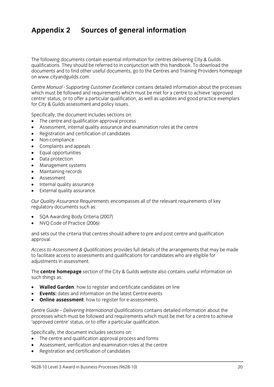## **Appendix 2 Sources of general information**

The following documents contain essential information for centres delivering City & Guilds qualifications. They should be referred to in conjunction with this handbook. To download the documents and to find other useful documents, go to the Centres and Training Providers homepage on www.cityandguilds.com.  $\frac{1}{2}$  and  $\frac{1}{2}$ 

*Centre Manual - Supporting Customer Excellence* contains detailed information about the processes centre' status, or to offer a particular qualification, as well as updates and good practice exemplars for City & Guilds assessment and policy issues. for City & Guilds assessment and policy issues.

- The centre and qualification approval process<br>• Assessment internal quality assurance and ex
- Assessment, internal quality assurance and examination roles at the centre
- Registration and certification of candidates
- Non-compliance
- Complaints and appeals
- Equal opportunities
- Data protection
- Management systems
- Maintaining records
- Assessment
- Internal quality assurance
- External quality assurance.

*Our Quality Assurance Requirements* encompasses all of the relevant requirements of key regulatory documents such as:

- SQA Awarding Body Criteria (2007)
- NVQ Code of Practice (2006)

and sets out the criteria that centres should adhere to pre and post centre and qualification approval. approval.

*Access to Assessment & Qualifications* provides full details of the arrangements that may be made adiustments in assessment. adjustments in assessment.

The **centre homepage** section of the City & Guilds website also contains useful information on  $\mathbf{S}$ 

- **Walled Garden**: how to register and certificate candidates on line
- **Events:** dates and information on the latest Centre events
- **Online assessment**: how to register for e-assessments.

*Centre Guide – Delivering International Qualifications* contains detailed information about the processes which must be followed and requirements which methods where a centre to achieve.<br>'annroved centre' status, or to offer a narticular qualification 'approved centre' status, or to offer a particular qualification.

- The centre and qualification approval process and forms
- Assessment, verification and examination roles at the centre
- Registration and certification of candidates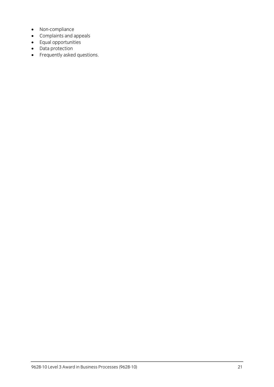- Non-compliance
- Complaints and appeals
- Equal opportunities
- Data protection
- Frequently asked questions.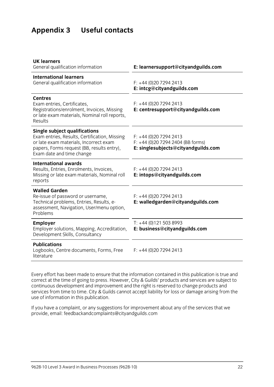# **Appendix 3 Useful contacts**

| E: learnersupport@cityandguilds.com                                                                 |
|-----------------------------------------------------------------------------------------------------|
| $F: +44(0)2072942413$<br>E: intcg@cityandguilds.com                                                 |
| $F: +44(0)2072942413$<br>E: centresupport@cityandguilds.com                                         |
| $F: +44(0)2072942413$<br>$F: +44$ (0)20 7294 2404 (BB forms)<br>E: singlesubjects@cityandguilds.com |
| $F: +44(0)2072942413$<br>E: intops@cityandguilds.com                                                |
| $F: +44(0)2072942413$<br>E: walledgarden@cityandguilds.com                                          |
| $T: +44(0)1215038993$<br>E: business@cityandguilds.com                                              |
| $F: +44(0)2072942413$                                                                               |
|                                                                                                     |

Every effort has been made to ensure that the information contained in this publication is true and correct at the time of going to press. However, City & Guilds' products and services are subject to continuous development and improvement and the right is reserved to change products and continuous development and improvement and input and input in the right increase to change and the services from the right in the right is reserved to change and the right in the right is reserved to change and the right i services from time to time. City & Guilds cannot accept liability for loss or damage arising from the use of information in this publication.

If you have a complete a complaint in the service and the services that we have a complete the services that we have a control of the services that we have a control of the services that we have a control of the service th provide, email[: feedbackandcomplaints@cityandguilds.com](http://feedbackandcomplaints@cityandguilds.com)